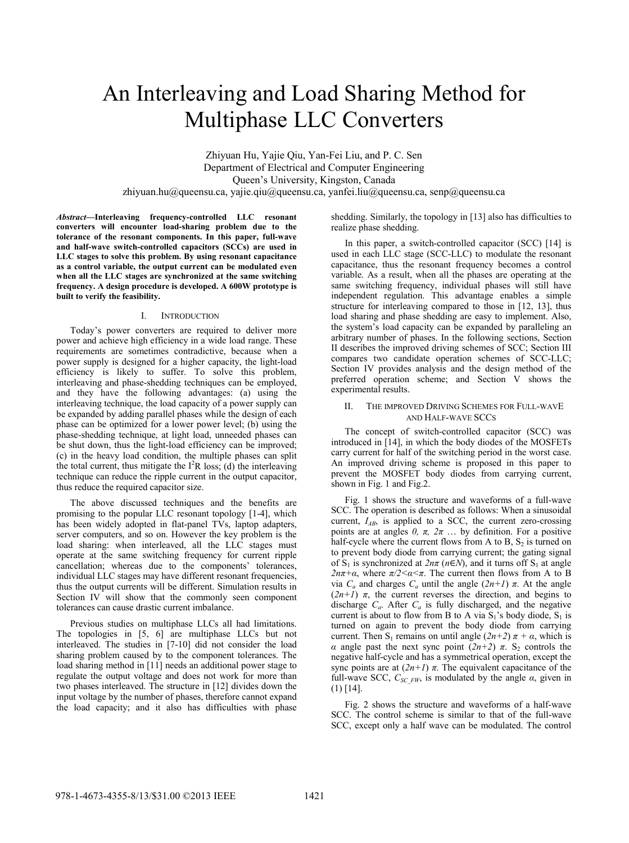# An Interleaving and Load Sharing Method for Multiphase LLC Converters

Zhiyuan Hu, Yajie Qiu, Yan-Fei Liu, and P. C. Sen Department of Electrical and Computer Engineering Queen's University, Kingston, Canada zhiyuan.hu@queensu.ca, yajie.qiu@queensu.ca, yanfei.liu@queensu.ca, senp@queensu.ca

*Abstract***—Interleaving frequency-controlled LLC resonant converters will encounter load-sharing problem due to the tolerance of the resonant components. In this paper, full-wave and half-wave switch-controlled capacitors (SCCs) are used in LLC stages to solve this problem. By using resonant capacitance as a control variable, the output current can be modulated even when all the LLC stages are synchronized at the same switching frequency. A design procedure is developed. A 600W prototype is built to verify the feasibility.** 

### I. INTRODUCTION

Today's power converters are required to deliver more power and achieve high efficiency in a wide load range. These requirements are sometimes contradictive, because when a power supply is designed for a higher capacity, the light-load efficiency is likely to suffer. To solve this problem, interleaving and phase-shedding techniques can be employed, and they have the following advantages: (a) using the interleaving technique, the load capacity of a power supply can be expanded by adding parallel phases while the design of each phase can be optimized for a lower power level; (b) using the phase-shedding technique, at light load, unneeded phases can be shut down, thus the light-load efficiency can be improved; (c) in the heavy load condition, the multiple phases can split the total current, thus mitigate the  $I^2R$  loss; (d) the interleaving technique can reduce the ripple current in the output capacitor, thus reduce the required capacitor size.

The above discussed techniques and the benefits are promising to the popular LLC resonant topology [1-4], which has been widely adopted in flat-panel TVs, laptop adapters, server computers, and so on. However the key problem is the load sharing: when interleaved, all the LLC stages must operate at the same switching frequency for current ripple cancellation; whereas due to the components' tolerances, individual LLC stages may have different resonant frequencies, thus the output currents will be different. Simulation results in Section IV will show that the commonly seen component tolerances can cause drastic current imbalance.

Previous studies on multiphase LLCs all had limitations. The topologies in [5, 6] are multiphase LLCs but not interleaved. The studies in [7-10] did not consider the load sharing problem caused by to the component tolerances. The load sharing method in [11] needs an additional power stage to regulate the output voltage and does not work for more than two phases interleaved. The structure in [12] divides down the input voltage by the number of phases, therefore cannot expand the load capacity; and it also has difficulties with phase

shedding. Similarly, the topology in [13] also has difficulties to realize phase shedding.

In this paper, a switch-controlled capacitor (SCC) [14] is used in each LLC stage (SCC-LLC) to modulate the resonant capacitance, thus the resonant frequency becomes a control variable. As a result, when all the phases are operating at the same switching frequency, individual phases will still have independent regulation. This advantage enables a simple structure for interleaving compared to those in [12, 13], thus load sharing and phase shedding are easy to implement. Also, the system's load capacity can be expanded by paralleling an arbitrary number of phases. In the following sections, Section II describes the improved driving schemes of SCC; Section III compares two candidate operation schemes of SCC-LLC; Section IV provides analysis and the design method of the preferred operation scheme; and Section V shows the experimental results.

# II. THE IMPROVED DRIVING SCHEMES FOR FULL-WAVE AND HALF-WAVE SCCS

The concept of switch-controlled capacitor (SCC) was introduced in [14], in which the body diodes of the MOSFETs carry current for half of the switching period in the worst case. An improved driving scheme is proposed in this paper to prevent the MOSFET body diodes from carrying current, shown in Fig. 1 and Fig.2.

Fig. 1 shows the structure and waveforms of a full-wave SCC. The operation is described as follows: When a sinusoidal current,  $I_{AB}$ , is applied to a SCC, the current zero-crossing points are at angles  $0$ ,  $\pi$ ,  $2\pi$  ... by definition. For a positive half-cycle where the current flows from A to B,  $S_2$  is turned on to prevent body diode from carrying current; the gating signal of  $S_1$  is synchronized at  $2n\pi$  ( $n \in N$ ), and it turns off  $S_1$  at angle *2nπ*+*α*, where  $π/2 < α < π$ . The current then flows from A to B via *Ca* and charges *Ca* until the angle (*2n+1*) *π*. At the angle  $(2n+1)$   $\pi$ , the current reverses the direction, and begins to discharge  $C_a$ . After  $C_a$  is fully discharged, and the negative current is about to flow from B to A via  $S_1$ 's body diode,  $S_1$  is turned on again to prevent the body diode from carrying current. Then S<sub>1</sub> remains on until angle  $(2n+2)$   $\pi + \alpha$ , which is *α* angle past the next sync point  $(2n+2)$  *π*. S<sub>2</sub> controls the negative half-cycle and has a symmetrical operation, except the sync points are at  $(2n+1)$   $\pi$ . The equivalent capacitance of the full-wave SCC,  $C_{SCFW}$ , is modulated by the angle  $\alpha$ , given in (1) [14].

Fig. 2 shows the structure and waveforms of a half-wave SCC. The control scheme is similar to that of the full-wave SCC, except only a half wave can be modulated. The control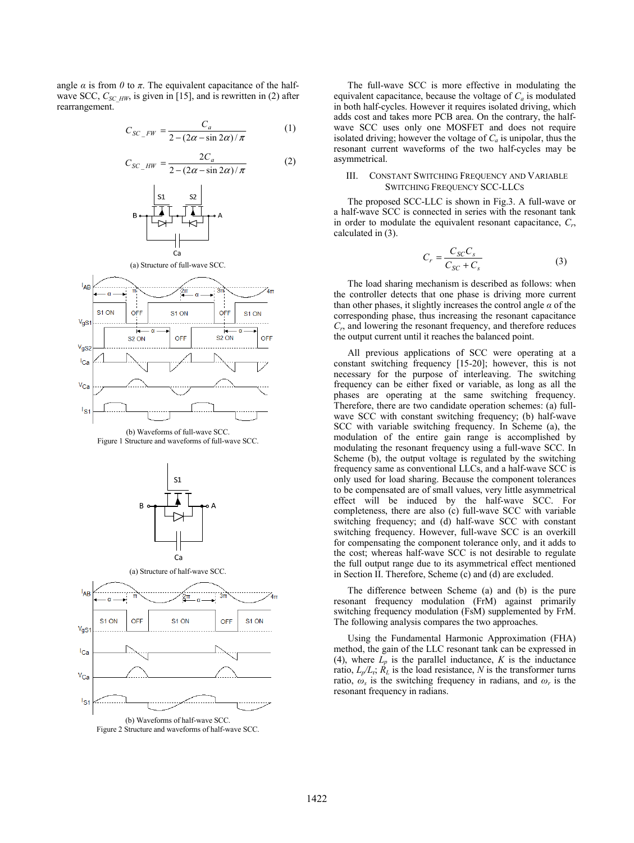angle  $\alpha$  is from  $\theta$  to  $\pi$ . The equivalent capacitance of the halfwave SCC,  $C_{SC_HW}$ , is given in [15], and is rewritten in (2) after rearrangement.

$$
C_{SC\_FW} = \frac{C_a}{2 - (2\alpha - \sin 2\alpha)/\pi}
$$
 (1)

$$
C_{SC\_HW} = \frac{2C_a}{2 - (2\alpha - \sin 2\alpha)/\pi}
$$
 (2)



(b) Waveforms of full-wave SCC. Figure 1 Structure and waveforms of full-wave SCC.



(b) Waveforms of half-wave SCC. Figure 2 Structure and waveforms of half-wave SCC.

The full-wave SCC is more effective in modulating the equivalent capacitance, because the voltage of  $C_a$  is modulated in both half-cycles. However it re quires isolated driving, which adds cost and takes more PCB area. On the contrary, the halfwave SCC uses only one MO SFET and does not require isolated driving; however the voltage of  $C_a$  is unipolar, thus the resonant current waveforms of the two half-cycles may be asymmetrical.

## III. CONSTANT SWITCHING F FREQUENCY AND VARIABLE SWITCHING FREQUE NCY SCC-LLCS

The proposed SCC-LLC is shown in Fig.3. A full-wave or a half-wave SCC is connected in series with the resonant tank in order to modulate the equivalent resonant capacitance,  $C_r$ , calculated in (3).

$$
C_r = \frac{C_{SC}C_s}{C_{SC} + C_s} \tag{3}
$$

The load sharing mechanism is described as follows: when the controller detects that one p hase is driving more current than other phases, it slightly increases the control angle  $\alpha$  of the corresponding phase, thus increasing the resonant capacitance *Cr*, and lowering the resonant freq quency, and therefore reduces the output current until it reaches the balanced point.

All previous applications of f SCC were operating at a constant switching frequency [1 15-20]; however, this is not necessary for the purpose of interleaving. The switching frequency can be either fixed or variable, as long as all the phases are operating at the same switching frequency. Therefore, there are two candidate operation schemes: (a) fullwave SCC with constant switching frequency; (b) half-wave SCC with variable switching frequency. In Scheme (a), the modulation of the entire gain range is accomplished by modulating the resonant frequency using a full-wave SCC. In Scheme (b), the output voltage is regulated by the switching frequency same as conventional LLCs, and a half-wave SCC is only used for load sharing. Because the component tolerances to be compensated are of small values, very little asymmetrical effect will be induced by the half-wave SCC. For completeness, there are also (c) full-wave SCC with variable switching frequency; and (d) half-wave SCC with constant switching frequency. However, full-wave SCC is an overkill for compensating the component tolerance only, and it adds to the cost; whereas half-wave SCC C is not desirable to regulate the full output range due to its as symmetrical effect mentioned in Section II. Therefore, Scheme (c) and (d) are excluded.

The difference between Scheme (a) and (b) is the pure resonant frequency modulation (FrM) against primarily switching frequency modulation (FsM) supplemented by FrM. The following analysis compares the two approaches.

Using the Fundamental Harmonic Approximation (FHA) method, the gain of the LLC reso nant tank can be expressed in (4), where  $L_p$  is the parallel inductance,  $K$  is the inductance ratio,  $L_p/L_r$ ;  $\overline{R}_L$  is the load resistance, *N* is the transformer turns ratio,  $\omega_s$  is the switching frequency in radians, and  $\omega_r$  is the resonant frequency in radians.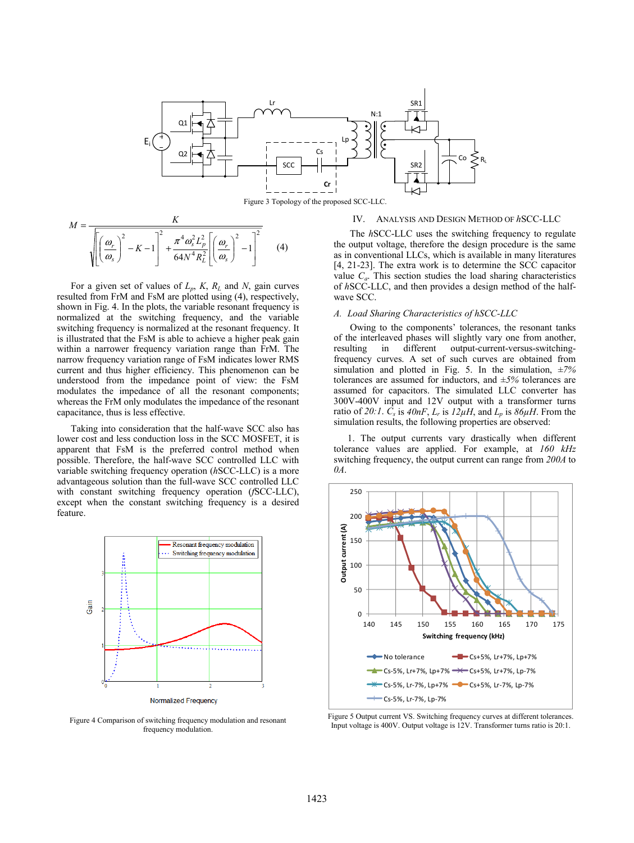

Figure 3 Topology of the proposed SCC-LLC.

$$
M = \frac{K}{\sqrt{\left[\left(\frac{\omega_r}{\omega_s}\right)^2 - K - 1\right]^2 + \frac{\pi^4 \omega_s^2 L_p^2}{64N^4 R_L^2} \left[\left(\frac{\omega_r}{\omega_s}\right)^2 - 1\right]^2}}
$$
(4)

For a given set of values of *Lp*, *K*, *RL* and *N*, gain curves resulted from FrM and FsM are plotted using (4), respectively, shown in Fig. 4. In the plots, the variable resonant frequency is normalized at the switching frequency, and the variable switching frequency is normalized at the resonant frequency. It is illustrated that the FsM is able to achieve a higher peak gain within a narrower frequency variation range than FrM. The narrow frequency variation range of FsM indicates lower RMS current and thus higher efficiency. This phenomenon can be understood from the impedance point of view: the FsM modulates the impedance of all the resonant components; whereas the FrM only modulates the impedance of the resonant capacitance, thus is less effective.

Taking into consideration that the half-wave SCC also has lower cost and less conduction loss in the SCC MOSFET, it is apparent that FsM is the preferred control method when possible. Therefore, the half-wave SCC controlled LLC with variable switching frequency operation (*h*SCC-LLC) is a more advantageous solution than the full-wave SCC controlled LLC with constant switching frequency operation (*f*SCC-LLC), except when the constant switching frequency is a desired feature.



**Normalized Frequency** 

frequency modulation.

#### IV. ANALYSIS AND DESIGN METHOD OF *h*SCC-LLC

 The *h*SCC-LLC uses the switching frequency to regulate the output voltage, therefore the design procedure is the same as in conventional LLCs, which is available in many literatures [4, 21-23]. The extra work is to determine the SCC capacitor value  $C_a$ . This section studies the load sharing characteristics of *h*SCC-LLC, and then provides a design method of the halfwave SCC.

#### *A. Load Sharing Characteristics of hSCC-LLC*

 Owing to the components' tolerances, the resonant tanks of the interleaved phases will slightly vary one from another, resulting in different output-current-versus-switchingfrequency curves. A set of such curves are obtained from simulation and plotted in Fig. 5. In the simulation, *±7%* tolerances are assumed for inductors, and *±5%* tolerances are assumed for capacitors. The simulated LLC converter has 300V-400V input and 12V output with a transformer turns ratio of 20:1.  $\overline{C_s}$  is  $40nF$ ,  $L_r$  is  $12\mu$ H, and  $L_p$  is  $86\mu$ H. From the simulation results, the following properties are observed:

1. The output currents vary drastically when different tolerance values are applied. For example, at *160 kHz* switching frequency, the output current can range from *200A* to *0A*.



Figure 5 Output current VS. Switching frequency curves at different tolerances. Figure 4 Comparison of switching frequency modulation and resonant<br>Input voltage is 400V. Output voltage is 12V. Transformer turns ratio is 20:1.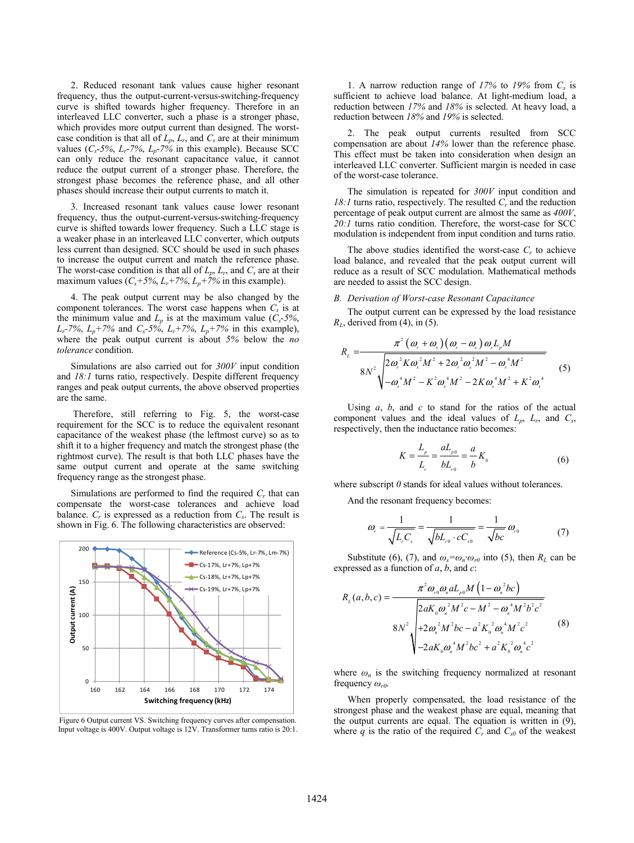2. Reduced resonant tank values cause higher resonant frequency, thus the output-current-versus-switching-frequency curve is shifted towards higher frequency. Therefore in an interleaved LLC converter, such a phase is a stronger phase, which provides more output current than designed. The worstcase condition is that all of  $L_p$ ,  $L_r$ , and  $C_s$  are at their minimum values (*Cs*-*5%*, *Lr*-*7%*, *Lp*-*7%* in this example). Because SCC can only reduce the resonant capacitance value, it cannot reduce the output current of a stronger phase. Therefore, the strongest phase becomes the reference phase, and all other phases should increase their output currents to match it.

3. Increased resonant tank values cause lower resonant frequency, thus the output-current-versus-switching-frequency curve is shifted towards lower frequency. Such a LLC stage is a weaker phase in an interleaved LLC converter, which outputs less current than designed. SCC should be used in such phases to increase the output current and match the reference phase. The worst-case condition is that all of  $L_p$ ,  $L_r$ , and  $C_s$  are at their maximum values  $(C_s+5\%, L_r+7\%, L_p+7\%$  in this example).

4. The peak output current may be also changed by the component tolerances. The worst case happens when  $C_s$  is at the minimum value and  $L_p$  is at the maximum value ( $C_s$ -5%,  $L_r$ -7%,  $L_p$ +7% and  $C_s$ -5%,  $L_r$ +7%,  $L_p$ +7% in this example), where the peak output current is about *5%* below the *no tolerance* condition.

Simulations are also carried out for *300V* input condition and *18:1* turns ratio, respectively. Despite different frequency ranges and peak output currents, the above observed properties are the same.

 Therefore, still referring to Fig. 5, the worst-case requirement for the SCC is to reduce the equivalent resonant capacitance of the weakest phase (the leftmost curve) so as to shift it to a higher frequency and match the strongest phase (the rightmost curve). The result is that both LLC phases have the same output current and operate at the same switching frequency range as the strongest phase.

Simulations are performed to find the required  $C_r$  that can compensate the worst-case tolerances and achieve load balance.  $C_r$  is expressed as a reduction from  $C_s$ . The result is shown in Fig. 6. The following characteristics are observed:





1. A narrow reduction range of *17%* to *19%* from *Cs* is sufficient to achieve load balance. At light-medium load, a reduction between *17%* and *18%* is selected. At heavy load, a reduction between *18%* and *19%* is selected.

2. The peak output currents resulted from SCC compensation are about *14%* lower than the reference phase. This effect must be taken into consideration when design an interleaved LLC converter. Sufficient margin is needed in case of the worst-case tolerance.

The simulation is repeated for *300V* input condition and 18:1 turns ratio, respectively. The resulted  $C_r$  and the reduction percentage of peak output current are almost the same as *400V*, *20:1* turns ratio condition. Therefore, the worst-case for SCC modulation is independent from input condition and turns ratio.

The above studies identified the worst-case  $C_r$  to achieve load balance, and revealed that the peak output current will reduce as a result of SCC modulation. Mathematical methods are needed to assist the SCC design.

#### *B. Derivation of Worst-case Resonant Capacitance*

The output current can be expressed by the load resistance *R<sub>L*</sub>, derived from (4), in (5).

$$
R_{L} = \frac{\pi^{2} (\omega_{r} + \omega_{s}) (\omega_{r} - \omega_{s}) \omega_{s} L_{p} M}{8N^{2} \sqrt{2 \omega_{r}^{2} K \omega_{s}^{2} M^{2} + 2 \omega_{r}^{2} \omega_{s}^{2} M^{2} - \omega_{r}^{4} M^{2}}}
$$
\n
$$
4 \sqrt{2 \omega_{s}^{4} M^{2} - K^{2} \omega_{s}^{4} M^{2} - 2 K \omega_{s}^{4} M^{2} + K^{2} \omega_{s}^{4}}}
$$
\n
$$
(5)
$$

Using *a*, *b*, and *c* to stand for the ratios of the actual component values and the ideal values of  $L_p$ ,  $L_r$ , and  $C_s$ , respectively, then the inductance ratio becomes:

$$
K = \frac{L_{\rho}}{L_{r}} = \frac{aL_{\rho 0}}{bL_{r0}} = \frac{a}{b}K_{0}
$$
 (6)

where subscript  $\theta$  stands for ideal values without tolerances.

And the resonant frequency becomes:

$$
\omega_r = \frac{1}{\sqrt{L_r C_s}} = \frac{1}{\sqrt{bL_{r0} \cdot cC_{s0}}} = \frac{1}{\sqrt{bc}} \omega_{r0}
$$
(7)

Substitute (6), (7), and  $\omega_s = \omega_n \omega_{r0}$  into (5), then  $R_L$  can be expressed as a function of *a*, *b*, and *c*:

$$
R_{L}(a,b,c) = \frac{\pi^{2} \omega_{r0} \omega_{n} a L_{p0} M \left(1 - \omega_{n}^{2} bc\right)}{2 a K_{0} \omega_{n}^{2} M^{2} c - M^{2} - \omega_{n}^{4} M^{2} b^{2} c^{2}}
$$
  
8N<sup>2</sup>
$$
\sqrt{\frac{+2 \omega_{n}^{2} M^{2} bc - a^{2} K_{0}^{2} \omega_{n}^{4} M^{2} c^{2}}{-2 a K_{0} \omega_{n}^{4} M^{2} b c^{2} + a^{2} K_{0}^{2} \omega_{n}^{4} c^{2}}}
$$
 (8)

where  $\omega_n$  is the switching frequency normalized at resonant frequency *ωr0*.

When properly compensated, the load resistance of the strongest phase and the weakest phase are equal, meaning that the output currents are equal. The equation is written in (9), where  $q$  is the ratio of the required  $C_r$  and  $C_{s0}$  of the weakest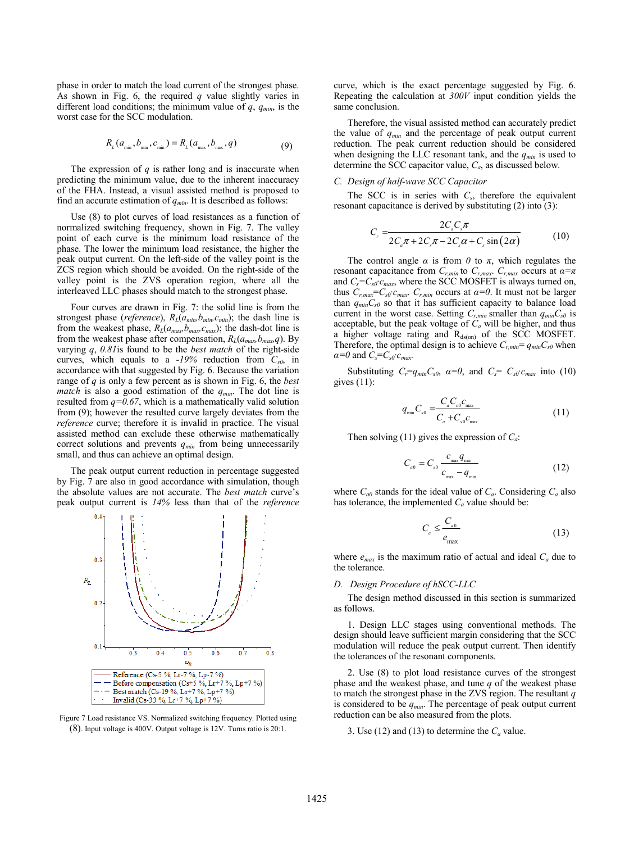phase in order to match the load current of the strongest phase. As shown in Fig. 6, the required *q* value slightly varies in different load conditions; the minimum value of *q*, *qmin*, is the worst case for the SCC modulation.

$$
R_{L}(a_{\min}, b_{\min}, c_{\min}) = R_{L}(a_{\max}, b_{\max}, q)
$$
\n(9)

The expression of  $q$  is rather long and is inaccurate when predicting the minimum value, due to the inherent inaccuracy of the FHA. Instead, a visual assisted method is proposed to find an accurate estimation of  $q_{min}$ . It is described as follows:

Use (8) to plot curves of load resistances as a function of normalized switching frequency, shown in Fig. 7. The valley point of each curve is the minimum load resistance of the phase. The lower the minimum load resistance, the higher the peak output current. On the left-side of the valley point is the ZCS region which should be avoided. On the right-side of the valley point is the ZVS operation region, where all the interleaved LLC phases should match to the strongest phase.

Four curves are drawn in Fig. 7: the solid line is from the strongest phase (*reference*),  $R_L(a_{min}, b_{min}, c_{min})$ ; the dash line is from the weakest phase,  $R_L(a_{max},b_{max},c_{max})$ ; the dash-dot line is from the weakest phase after compensation,  $R_L(a_{max},b_{max},q)$ . By varying *q*, *0.81*is found to be the *best match* of the right-side curves, which equals to a -*19%* reduction from *Cs0*, in accordance with that suggested by Fig. 6. Because the variation range of *q* is only a few percent as is shown in Fig. 6, the *best match* is also a good estimation of the *qmin*. The dot line is resulted from  $q=0.67$ , which is a mathematically valid solution from (9); however the resulted curve largely deviates from the *reference* curve; therefore it is invalid in practice. The visual assisted method can exclude these otherwise mathematically correct solutions and prevents  $q_{min}$  from being unnecessarily small, and thus can achieve an optimal design.

The peak output current reduction in percentage suggested by Fig. 7 are also in good accordance with simulation, though the absolute values are not accurate. The *best match* curve's peak output current is *14%* less than that of the *reference*



Figure 7 Load resistance VS. Normalized switching frequency. Plotted using (8). Input voltage is 400V. Output voltage is 12V. Turns ratio is 20:1.

curve, which is the exact percentage suggested by Fig. 6. Repeating the calculation at *300V* input condition yields the same conclusion.

Therefore, the visual assisted method can accurately predict the value of *qmin* and the percentage of peak output current reduction. The peak current reduction should be considered when designing the LLC resonant tank, and the  $q_{min}$  is used to determine the SCC capacitor value, *Ca*, as discussed below.

# *C. Design of half-wave SCC Capacitor*

The SCC is in series with  $C_s$ , therefore the equivalent resonant capacitance is derived by substituting  $(2)$  into  $(3)$ :

$$
C_r = \frac{2C_a C_s \pi}{2C_a \pi + 2C_s \pi - 2C_s \alpha + C_s \sin(2\alpha)}\tag{10}
$$

The control angle  $\alpha$  is from  $\theta$  to  $\pi$ , which regulates the resonant capacitance from  $C_{r,min}$  to  $C_{r,max}$ .  $C_{r,max}$  occurs at  $\alpha = \pi$ and  $C_s = C_{s0} \cdot c_{max}$ , where the SCC MOSFET is always turned on, thus  $C_{r,max} = C_{s0} \cdot c_{max}$ .  $C_{r,min}$  occurs at  $\alpha = 0$ . It must not be larger than  $q_{min}C_{s0}$  so that it has sufficient capacity to balance load current in the worst case. Setting  $C_{r,min}$  smaller than  $q_{min}C_{s0}$  is acceptable, but the peak voltage of *Ca* will be higher, and thus a higher voltage rating and  $R_{ds(0n)}$  of the SCC MOSFET. Therefore, the optimal design is to achieve  $C_{r,min} = q_{min}C_{s0}$  when  $\alpha = 0$  and  $C_s = C_{s0} \cdot c_{max}$ .

Substituting  $C_r = q_{min}C_{s0}$ ,  $\alpha = 0$ , and  $C_s = C_{s0}c_{max}$  into (10) gives (11):

$$
q_{\min} C_{s0} = \frac{C_a C_{s0} c_{\max}}{C_a + C_{s0} c_{\max}}
$$
(11)

Then solving (11) gives the expression of *Ca*:

$$
C_{a0} = C_{s0} \frac{c_{\text{max}} q_{\text{min}}}{c_{\text{max}} - q_{\text{min}}} \tag{12}
$$

where  $C_{a0}$  stands for the ideal value of  $C_a$ . Considering  $C_a$  also has tolerance, the implemented  $C_a$  value should be:

$$
C_a \le \frac{C_{a0}}{e_{\text{max}}}
$$
 (13)

where  $e_{max}$  is the maximum ratio of actual and ideal  $C_a$  due to the tolerance.

#### *D. Design Procedure of hSCC-LLC*

The design method discussed in this section is summarized as follows.

1. Design LLC stages using conventional methods. The design should leave sufficient margin considering that the SCC modulation will reduce the peak output current. Then identify the tolerances of the resonant components.

2. Use (8) to plot load resistance curves of the strongest phase and the weakest phase, and tune *q* of the weakest phase to match the strongest phase in the ZVS region. The resultant *q* is considered to be  $q_{min}$ . The percentage of peak output current reduction can be also measured from the plots.

3. Use (12) and (13) to determine the  $C_a$  value.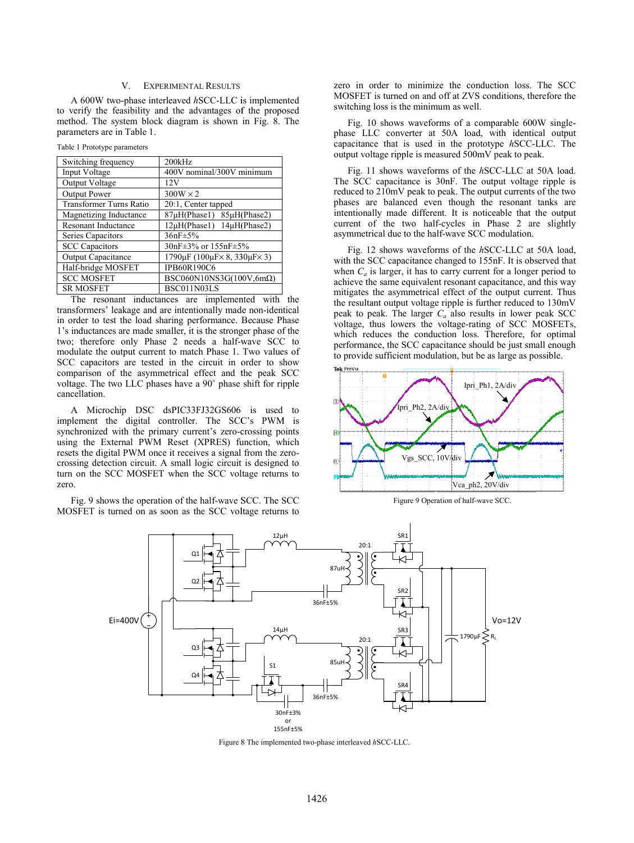## V. EXPERIMENTAL RESULTS

A 600W two-phase interleaved *h*SCC-LLC i is implemented to verify the feasibility and the advantages of f the proposed method. The system block diagram is shown in Fig. 8. The parameters are in Table 1.

Table 1 Prototype parameters

| 200kHz                                                        |
|---------------------------------------------------------------|
| 400V nominal/300V minimum                                     |
| 12V                                                           |
| $300W \times 2$                                               |
| 20:1, Center tapped                                           |
| 87µH(Phase1) 85µH(Phase2)                                     |
| 12μH(Phase1) 14μH(Phase2)                                     |
| $36nF \pm 5\%$                                                |
| 30nF±3% or 155nF±5%                                           |
| $1790 \mu$ F (100 $\mu$ F $\times$ 8, 330 $\mu$ F $\times$ 3) |
| <b>IPB60R190C6</b>                                            |
| $BSC060N10NS3G(100V,6m\Omega)$                                |
| BSC011N03LS                                                   |
|                                                               |

The resonant inductances are implemented with the transformers' leakage and are intentionally mad e non-identical in order to test the load sharing performance. B Because Phase 1's inductances are made smaller, it is the stronger phase of the two; therefore only Phase 2 needs a half-wave SCC to modulate the output current to match Phase 1. Two values of SCC capacitors are tested in the circuit in order to show comparison of the asymmetrical effect and the peak SCC voltage. The two LLC phases have a 90˚ phase shift for ripple cancellation.

A Microchip DSC dsPIC33FJ32GS606 is used to implement the digital controller. The SCC C's PWM is synchronized with the primary current's zero-crossing points using the External PWM Reset (XPRES) function, which resets the digital PWM once it receives a signal from the zerocrossing detection circuit. A small logic circuit is designed to turn on the SCC MOSFET when the SCC voltage returns to zero.

Fig. 9 shows the operation of the half-wave S SCC. The SCC MOSFET is turned on as soon as the SCC voltage returns to zero in order to minimize the conduction loss. The SCC MOSFET is turned on and off at Z ZVS conditions, therefore the switching loss is the minimum as well.

Fig. 10 shows waveforms of a comparable 600W singlephase LLC converter at 50A load, with identical output capacitance that is used in the prototype *h*SCC-LLC. The output voltage ripple is measured 500mV peak to peak.

Fig. 11 shows waveforms of the *h*SCC-LLC at 50A load. The SCC capacitance is 30nF. The output voltage ripple is reduced to 210mV peak to peak. The output currents of the two phases are balanced even though the resonant tanks are intentionally made different. It is noticeable that the output current of the two half-cycles s in Phase 2 are slightly asymmetrical due to the half-wave e SCC modulation.

Fig. 12 shows waveforms of the *h*SCC-LLC at 50A load, with the SCC capacitance changed to 155nF. It is observed that when  $C_a$  is larger, it has to carry current for a longer period to achieve the same equivalent resonant capacitance, and this way mitigates the asymmetrical effect of the output current. Thus the resultant output voltage ripple is further reduced to 130mV peak to peak. The larger  $C_a$  also results in lower peak  $SCC$ voltage, thus lowers the voltage e-rating of SCC MOSFETs, which reduces the conduction loss. Therefore, for optimal performance, the SCC capacitanc e should be just small enough to provide sufficient modulation, b but be as large as possible.



Figure 9 Operation of half-wave SCC.



Figure 8 8 The implemented two-phase interleaved *h*SCC-LLC.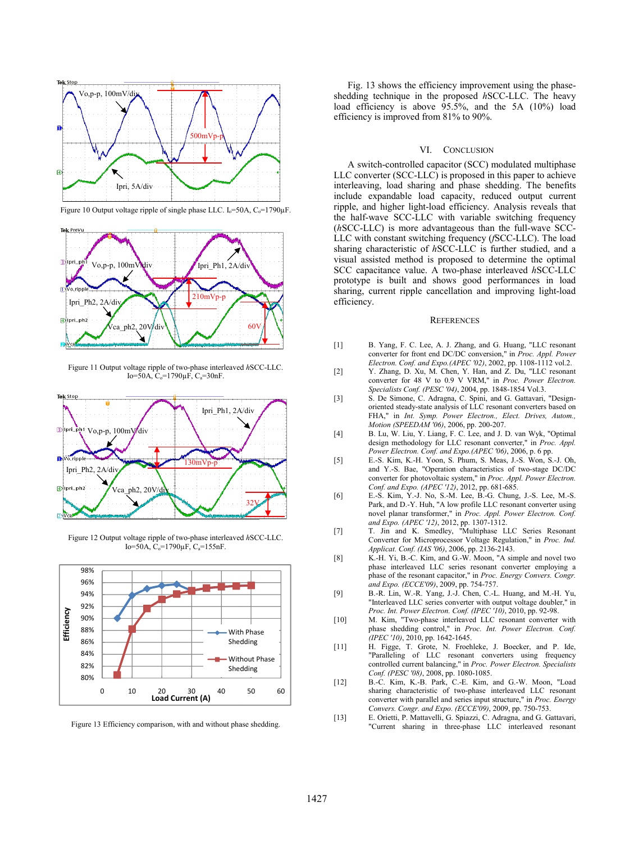

Figure 10 Output voltage ripple of single phase LLC.  $I_0 = 50A$ ,  $C_0 = 1790\mu F$ .



Figure 11 Output voltage ripple of two-phase interleaved d *h*SCC-LLC. Io=50A,  $C_0$ =1790 $\mu$ F,  $C_a$ =30nF.



Figure 12 Output voltage ripple of two-phase interleaved d *h*SCC-LLC. Io=50A,  $C_0$ =1790 $\mu$ F,  $C_a$ =155nF.



Figure 13 Efficiency comparison, with and without phase shedding.

Fig. 13 shows the efficiency i mprovement using the phaseshedding technique in the proposed *h*SCC-LLC. The heavy load efficiency is above 95.5% %, and the 5A (10%) load efficiency is improved from 81% to 90%.

## VI. CONCLUSION

A switch-controlled capacitor (SCC) modulated multiphase LLC converter (SCC-LLC) is pro posed in this paper to achieve interleaving, load sharing and phase shedding. The benefits include expandable load capacity, reduced output current ripple, and higher light-load effi ciency. Analysis reveals that the half-wave SCC-LLC with variable switching frequency (hSCC-LLC) is more advantageous than the full-wave SCC-LLC with constant switching freq quency (*f*SCC-LLC). The load sharing characteristic of *h*SCC-L LLC is further studied, and a visual assisted method is propos sed to determine the optimal SCC capacitance value. A two-p phase interleaved *h*SCC-LLC prototype is built and shows good performances in load sharing, current ripple cancellation and improving light-load efficiency.

#### **REFERENCES**

- [1] B. Yang, F. C. Lee, A. J. Zhang, and G. Huang, "LLC resonant converter for front end DC/DC C conversion," in *Proc. Appl. Power Electron. Conf. and Expo.(APEC '02)*, 2002, pp. 1108-1112 vol.2.
- [2] Y. Zhang, D. Xu, M. Chen, Y. Han, and Z. Du, "LLC resonant converter for 48 V to 0.9 V V VRM," in *Proc. Power Electron. Specialists Conf. (PESC '04)*, 2 2004, pp. 1848-1854 Vol.3.
- [3] S. De Simone, C. Adragna, C. Spini, and G. Gattavari, "Designoriented steady-state analysis of LLC resonant converters based on FHA," in *Int. Symp. Power Electron., Elect. Drives, Autom., Motion (SPEEDAM '06)*, 2006 6, pp. 200-207.
- [4] B. Lu, W. Liu, Y. Liang, F. C C. Lee, and J. D. van Wyk, "Optimal design methodology for LLC resonant converter," in *Proc. Appl. Power Electron. Conf. and Expo.(APEC '06)*, 2006, p. 6 pp.
- [5] E.-S. Kim, K.-H. Yoon, S. Ph hum, S. Meas, J.-S. Won, S.-J. Oh, and Y.-S. Bae, "Operation characteristics of two-stage DC/DC converter for photovoltaic system," in *Proc. Appl. Power Electron. Conf. and Expo. (APEC '12)*, 2 2012, pp. 681-685.
- [6] E.-S. Kim, Y.-J. No, S.-M. L Lee, B.-G. Chung, J.-S. Lee, M.-S. Park, and D.-Y. Huh, "A low p profile LLC resonant converter using novel planar transformer," in *Proc. Appl. Power Electron. Conf.*  and *Expo.* (APEC '12), 2012, pp. 1307-1312.
- [7] T. Jin and K. Smedley, " Multiphase LLC Series Resonant Converter for Microprocessor Voltage Regulation," in *Proc. Ind. Applicat. Conf. (IAS '06)*, 2006 6, pp. 2136-2143.
- [8] K.-H. Yi, B.-C. Kim, and G.-W. Moon, "A simple and novel two phase interleaved LLC series resonant converter employing a phase of the resonant capacitor," in *Proc. Energy Convers. Congr.* and Expo. (ECCE'09), 2009, pp. 754-757.
- [9] B.-R. Lin, W.-R. Yang, J.-J. Chen, C.-L. Huang, and M.-H. Yu, "Interleaved LLC series converter with output voltage doubler," in *Proc. Int. Power Electron. Con nf. (IPEC '10)*, 2010, pp. 92-98.
- [10] M. Kim, "Two-phase interleaved LLC resonant converter with phase shedding control," in *Proc. Int. Power Electron. Conf. (IPEC '10)*, 2010, pp. 1642-16 45.
- [11] H. Figge, T. Grote, N. Fr "Paralleling of LLC reson controlled current balancing," in *Proc. Power Electron. Specialists*  Conf. (PESC '08), 2008, pp. 1080-1085. oehleke, J. Boecker, and P. Ide, nant converters using frequency
- [12] B.-C. Kim, K.-B. Park, C.-E E. Kim, and G.-W. Moon, "Load sharing characteristic of two-phase interleaved LLC resonant converter with parallel and series input structure," in *Proc. Energy Convers. Congr. and Expo. (E CCE'09)*, 2009, pp. 750-753.
- [13] E. Orietti, P. Mattavelli, G. Spiazzi, C. Adragna, and G. Gattavari, "Current sharing in three-phase LLC interleaved resonant